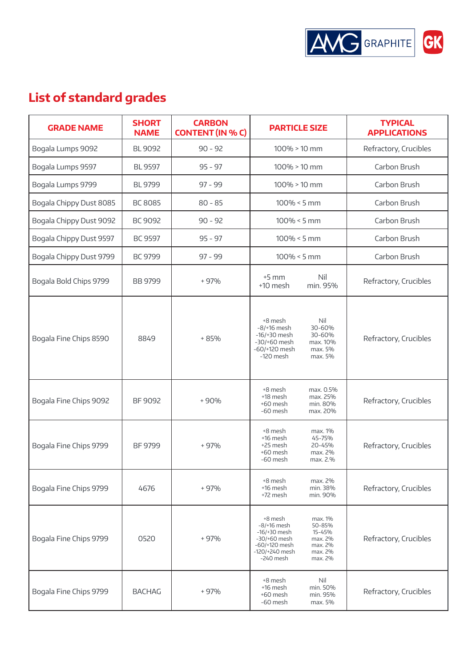

## **List of standard grades**

| <b>GRADE NAME</b>       | <b>SHORT</b><br><b>NAME</b> | <b>CARBON</b><br><b>CONTENT (IN % C)</b> | <b>PARTICLE SIZE</b>                                                                                                                                                                       | <b>TYPICAL</b><br><b>APPLICATIONS</b> |
|-------------------------|-----------------------------|------------------------------------------|--------------------------------------------------------------------------------------------------------------------------------------------------------------------------------------------|---------------------------------------|
| Bogala Lumps 9092       | <b>BL 9092</b>              | $90 - 92$                                | $100\% > 10$ mm                                                                                                                                                                            | Refractory, Crucibles                 |
| Bogala Lumps 9597       | <b>BL 9597</b>              | $95 - 97$                                | $100\% > 10$ mm                                                                                                                                                                            | Carbon Brush                          |
| Bogala Lumps 9799       | <b>BL 9799</b>              | $97 - 99$                                | $100\% > 10$ mm                                                                                                                                                                            | Carbon Brush                          |
| Bogala Chippy Dust 8085 | <b>BC 8085</b>              | $80 - 85$                                | $100\% < 5$ mm                                                                                                                                                                             | Carbon Brush                          |
| Bogala Chippy Dust 9092 | BC 9092                     | $90 - 92$                                | $100\% < 5$ mm                                                                                                                                                                             | Carbon Brush                          |
| Bogala Chippy Dust 9597 | <b>BC 9597</b>              | $95 - 97$                                | $100\% < 5$ mm                                                                                                                                                                             | Carbon Brush                          |
| Bogala Chippy Dust 9799 | BC 9799                     | $97 - 99$                                | $100\% < 5$ mm                                                                                                                                                                             | Carbon Brush                          |
| Bogala Bold Chips 9799  | <b>BB 9799</b>              | $+97%$                                   | $+5$ mm<br>Nil<br>$+10$ mesh<br>min. 95%                                                                                                                                                   | Refractory, Crucibles                 |
| Bogala Fine Chips 8590  | 8849                        | $+85%$                                   | +8 mesh<br>Nil<br>$-8/16$ mesh<br>30-60%<br>$-16/+30$ mesh<br>30-60%<br>$-30/+60$ mesh<br>max. 10%<br>-60/+120 mesh<br>max. 5%<br>$-120$ mesh<br>max. 5%                                   | Refractory, Crucibles                 |
| Bogala Fine Chips 9092  | BF 9092                     | $+90%$                                   | +8 mesh<br>max. 0.5%<br>+18 mesh<br>max. 25%<br>$+60$ mesh<br>min. 80%<br>-60 mesh<br>max. 20%                                                                                             | Refractory, Crucibles                 |
| Bogala Fine Chips 9799  | BF 9799                     | $+97%$                                   | +8 mesh<br>max. 1%<br>+16 mesh<br>45-75%<br>20-45%<br>+25 mesh<br>max. 2%<br>$+60$ mesh<br>max. 2.%<br>-60 mesh                                                                            | Refractory, Crucibles                 |
| Bogala Fine Chips 9799  | 4676                        | $+97%$                                   | +8 mesh<br>max. 2%<br>+16 mesh<br>min. 38%<br>+72 mesh<br>min. 90%                                                                                                                         | Refractory, Crucibles                 |
| Bogala Fine Chips 9799  | 0520                        | $+97%$                                   | +8 mesh<br>max. 1%<br>$-8/16$ mesh<br>50-85%<br>15-45%<br>$-16/+30$ mesh<br>$-30/+60$ mesh<br>max. 2%<br>$-60/+120$ mesh<br>max. 2%<br>max. 2%<br>-120/+240 mesh<br>$-240$ mesh<br>max. 2% | Refractory, Crucibles                 |
| Bogala Fine Chips 9799  | <b>BACHAG</b>               | $+97%$                                   | Nil<br>+8 mesh<br>+16 mesh<br>min. 50%<br>+60 mesh<br>min. 95%<br>-60 mesh<br>max. 5%                                                                                                      | Refractory, Crucibles                 |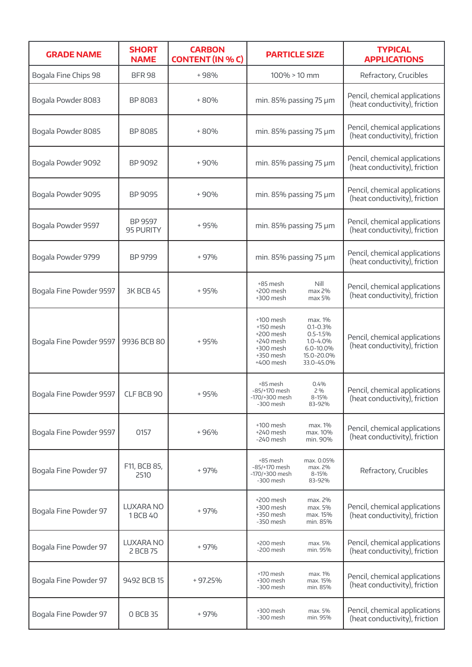| <b>GRADE NAME</b>                    | <b>SHORT</b><br><b>NAME</b> | <b>CARBON</b><br><b>CONTENT (IN % C)</b> | <b>PARTICLE SIZE</b>                                                                                                                                                                            | <b>TYPICAL</b><br><b>APPLICATIONS</b>                          |
|--------------------------------------|-----------------------------|------------------------------------------|-------------------------------------------------------------------------------------------------------------------------------------------------------------------------------------------------|----------------------------------------------------------------|
| Bogala Fine Chips 98                 | <b>BFR 98</b>               | +98%                                     | $100\% > 10$ mm                                                                                                                                                                                 | Refractory, Crucibles                                          |
| Bogala Powder 8083                   | BP 8083                     | $+80%$                                   | min. 85% passing 75 µm                                                                                                                                                                          | Pencil, chemical applications<br>(heat conductivity), friction |
| Bogala Powder 8085                   | BP 8085                     | +80%                                     | min. 85% passing 75 µm                                                                                                                                                                          | Pencil, chemical applications<br>(heat conductivity), friction |
| Bogala Powder 9092                   | BP 9092                     | $+90%$                                   | min. 85% passing 75 µm                                                                                                                                                                          | Pencil, chemical applications<br>(heat conductivity), friction |
| Bogala Powder 9095                   | BP 9095                     | $+90%$                                   | min. 85% passing 75 µm                                                                                                                                                                          | Pencil, chemical applications<br>(heat conductivity), friction |
| Bogala Powder 9597                   | BP 9597<br>95 PURITY        | +95%                                     | min. 85% passing 75 µm                                                                                                                                                                          | Pencil, chemical applications<br>(heat conductivity), friction |
| Bogala Powder 9799                   | BP 9799                     | + 97%                                    | min. 85% passing 75 µm                                                                                                                                                                          | Pencil, chemical applications<br>(heat conductivity), friction |
| Bogala Fine Powder 9597              | <b>3K BCB 45</b>            | $+95%$                                   | +85 mesh<br>Nill<br>max 2%<br>+200 mesh<br>+300 mesh<br>max 5%                                                                                                                                  | Pencil, chemical applications<br>(heat conductivity), friction |
| Bogala Fine Powder 9597              | 9936 BCB 80                 | $+95%$                                   | $+100$ mesh<br>max. 1%<br>$0.1 - 0.3%$<br>$+150$ mesh<br>+200 mesh<br>$0.5 - 1.5%$<br>+240 mesh<br>$1.0 - 4.0%$<br>+300 mesh<br>6.0-10.0%<br>+350 mesh<br>15.0-20.0%<br>33.0-45.0%<br>+400 mesh | Pencil, chemical applications<br>(heat conductivity), friction |
| Bogala Fine Powder 9597   CLF BCB 90 |                             | + 95%                                    | +85 mesh<br>0.4%<br>-85/+170 mesh<br>2%<br>-170/+300 mesh<br>8-15%<br>83-92%<br>-300 mesh                                                                                                       | Pencil, chemical applications<br>(heat conductivity), friction |
| Bogala Fine Powder 9597              | 0157                        | +96%                                     | $+100$ mesh<br>max. 1%<br>+240 mesh<br>max. 10%<br>-240 mesh<br>min. 90%                                                                                                                        | Pencil, chemical applications<br>(heat conductivity), friction |
| Bogala Fine Powder 97                | F11, BCB 85,<br>2510        | + 97%                                    | +85 mesh<br>max. 0.05%<br>-85/+170 mesh<br>max. 2%<br>-170/+300 mesh<br>8-15%<br>-300 mesh<br>83-92%                                                                                            | Refractory, Crucibles                                          |
| Bogala Fine Powder 97                | LUXARA NO<br>1 BCB 40       | + 97%                                    | +200 mesh<br>max. 2%<br>max. 5%<br>+300 mesh<br>+350 mesh<br>max. 15%<br>-350 mesh<br>min. 85%                                                                                                  | Pencil, chemical applications<br>(heat conductivity), friction |
| Bogala Fine Powder 97                | LUXARA NO<br>2 BCB 75       | + 97%                                    | +200 mesh<br>max. 5%<br>min. 95%<br>-200 mesh                                                                                                                                                   | Pencil, chemical applications<br>(heat conductivity), friction |
| Bogala Fine Powder 97                | 9492 BCB 15                 | +97.25%                                  | +170 mesh<br>max. 1%<br>+300 mesh<br>max. 15%<br>-300 mesh<br>min. 85%                                                                                                                          | Pencil, chemical applications<br>(heat conductivity), friction |
| Bogala Fine Powder 97                | 0 BCB 35                    | $+97%$                                   | +300 mesh<br>max. 5%<br>-300 mesh<br>min. 95%                                                                                                                                                   | Pencil, chemical applications<br>(heat conductivity), friction |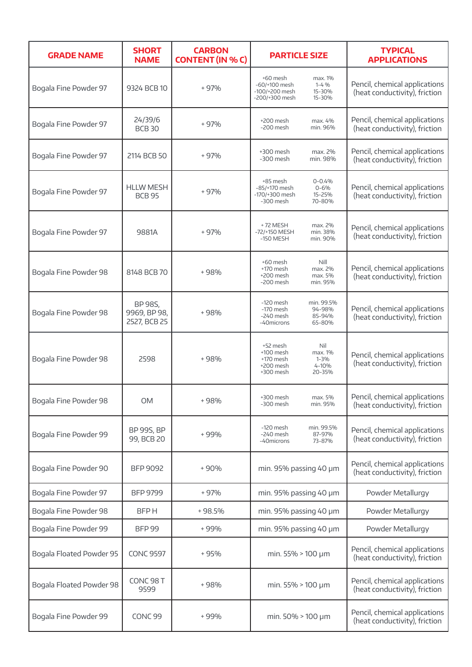| <b>GRADE NAME</b>        | <b>SHORT</b><br><b>NAME</b>             | <b>CARBON</b><br><b>CONTENT (IN % C)</b> | <b>PARTICLE SIZE</b>                                                                                          | <b>TYPICAL</b><br><b>APPLICATIONS</b>                          |
|--------------------------|-----------------------------------------|------------------------------------------|---------------------------------------------------------------------------------------------------------------|----------------------------------------------------------------|
| Bogala Fine Powder 97    | 9324 BCB 10                             | $+97%$                                   | +60 mesh<br>max. 1%<br>$1 - 4%$<br>-60/+100 mesh<br>-100/+200 mesh<br>15-30%<br>-200/+300 mesh<br>15-30%      | Pencil, chemical applications<br>(heat conductivity), friction |
| Bogala Fine Powder 97    | 24/39/6<br><b>BCB 30</b>                | + 97%                                    | +200 mesh<br>max. 4%<br>-200 mesh<br>min. 96%                                                                 | Pencil, chemical applications<br>(heat conductivity), friction |
| Bogala Fine Powder 97    | 2114 BCB 50                             | + 97%                                    | +300 mesh<br>max. 2%<br>$-300$ mesh<br>min. 98%                                                               | Pencil, chemical applications<br>(heat conductivity), friction |
| Bogala Fine Powder 97    | <b>HLLW MESH</b><br><b>BCB 95</b>       | $+97%$                                   | +85 mesh<br>$0 - 0.4%$<br>-85/+170 mesh<br>$0 - 6%$<br>-170/+300 mesh<br>15-25%<br>$-300$ mesh<br>70-80%      | Pencil, chemical applications<br>(heat conductivity), friction |
| Bogala Fine Powder 97    | 9881A                                   | + 97%                                    | +72 MESH<br>max. 2%<br>min. 38%<br>-72/+150 MESH<br>$-150$ MESH<br>min. 90%                                   | Pencil, chemical applications<br>(heat conductivity), friction |
| Bogala Fine Powder 98    | 8148 BCB 70                             | +98%                                     | Nill<br>+60 mesh<br>+170 mesh<br>max. 2%<br>+200 mesh<br>max. 5%<br>-200 mesh<br>min. 95%                     | Pencil, chemical applications<br>(heat conductivity), friction |
| Bogala Fine Powder 98    | BP 98S,<br>9969, BP 98,<br>2527, BCB 25 | $+98%$                                   | $-120$ mesh<br>min. 99.5%<br>$-170$ mesh<br>94-98%<br>$-240$ mesh<br>85-94%<br>-40microns<br>65-80%           | Pencil, chemical applications<br>(heat conductivity), friction |
| Bogala Fine Powder 98    | 2598                                    | $+98%$                                   | +52 mesh<br>Nil<br>max. 1%<br>+100 mesh<br>+170 mesh<br>$1 - 3%$<br>4-10%<br>+200 mesh<br>20-35%<br>+300 mesh | Pencil, chemical applications<br>(heat conductivity), friction |
| Bogala Fine Powder 98    | <b>OM</b>                               | +98%                                     | +300 mesh<br>max. 5%<br>-300 mesh<br>min. 95%                                                                 | Pencil, chemical applications<br>(heat conductivity), friction |
| Bogala Fine Powder 99    | <b>BP 99S, BP</b><br>99, BCB 20         | +99%                                     | $-120$ mesh<br>min. 99.5%<br>-240 mesh<br>87-97%<br>73-87%<br>-40microns                                      | Pencil, chemical applications<br>(heat conductivity), friction |
| Bogala Fine Powder 90    | <b>BFP 9092</b>                         | $+90%$                                   | min. 95% passing 40 µm                                                                                        | Pencil, chemical applications<br>(heat conductivity), friction |
| Bogala Fine Powder 97    | <b>BFP 9799</b>                         | $+97%$                                   | min. 95% passing 40 µm                                                                                        | Powder Metallurgy                                              |
| Bogala Fine Powder 98    | <b>BFPH</b>                             | +98.5%                                   | min. 95% passing 40 µm                                                                                        | Powder Metallurgy                                              |
| Bogala Fine Powder 99    | <b>BFP 99</b>                           | +99%                                     | min. 95% passing 40 µm                                                                                        | Powder Metallurgy                                              |
| Bogala Floated Powder 95 | <b>CONC 9597</b>                        | $+95%$                                   | min. 55% > 100 µm                                                                                             | Pencil, chemical applications<br>(heat conductivity), friction |
| Bogala Floated Powder 98 | CONC <sub>98</sub> T<br>9599            | $+98%$                                   | min. 55% > 100 µm                                                                                             | Pencil, chemical applications<br>(heat conductivity), friction |
| Bogala Fine Powder 99    | CONC <sub>99</sub>                      | +99%                                     | min. 50% > 100 µm                                                                                             | Pencil, chemical applications<br>(heat conductivity), friction |